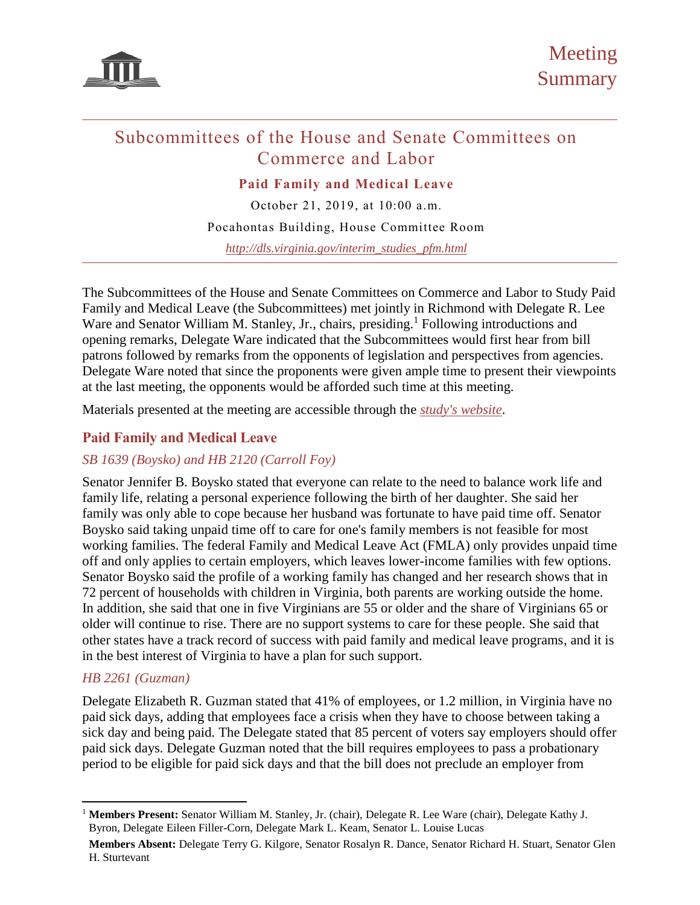

# Subcommittees of the House and Senate Committees on Commerce and Labor

**Paid Family and Medical Leave**

October 21, 2019, at 10:00 a.m. Pocahontas Building, House Committee Room *[http://dls.virginia.gov/interim\\_studies\\_pfm.html](http://dls.virginia.gov/interim_studies_pfm.html)*

The Subcommittees of the House and Senate Committees on Commerce and Labor to Study Paid Family and Medical Leave (the Subcommittees) met jointly in Richmond with Delegate R. Lee Ware and Senator William M. Stanley, Jr., chairs, presiding.<sup>1</sup> Following introductions and opening remarks, Delegate Ware indicated that the Subcommittees would first hear from bill patrons followed by remarks from the opponents of legislation and perspectives from agencies. Delegate Ware noted that since the proponents were given ample time to present their viewpoints at the last meeting, the opponents would be afforded such time at this meeting.

Materials presented at the meeting are accessible through the *[study's website](http://dls.virginia.gov/interim_studies_pfm.html)*.

# **Paid Family and Medical Leave**

# *SB 1639 (Boysko) and HB 2120 (Carroll Foy)*

Senator Jennifer B. Boysko stated that everyone can relate to the need to balance work life and family life, relating a personal experience following the birth of her daughter. She said her family was only able to cope because her husband was fortunate to have paid time off. Senator Boysko said taking unpaid time off to care for one's family members is not feasible for most working families. The federal Family and Medical Leave Act (FMLA) only provides unpaid time off and only applies to certain employers, which leaves lower-income families with few options. Senator Boysko said the profile of a working family has changed and her research shows that in 72 percent of households with children in Virginia, both parents are working outside the home. In addition, she said that one in five Virginians are 55 or older and the share of Virginians 65 or older will continue to rise. There are no support systems to care for these people. She said that other states have a track record of success with paid family and medical leave programs, and it is in the best interest of Virginia to have a plan for such support.

# *HB 2261 (Guzman)*

 $\overline{a}$ 

Delegate Elizabeth R. Guzman stated that 41% of employees, or 1.2 million, in Virginia have no paid sick days, adding that employees face a crisis when they have to choose between taking a sick day and being paid. The Delegate stated that 85 percent of voters say employers should offer paid sick days. Delegate Guzman noted that the bill requires employees to pass a probationary period to be eligible for paid sick days and that the bill does not preclude an employer from

<sup>1</sup> **Members Present:** Senator William M. Stanley, Jr. (chair), Delegate R. Lee Ware (chair), Delegate Kathy J. Byron, Delegate Eileen Filler-Corn, Delegate Mark L. Keam, Senator L. Louise Lucas

**Members Absent:** Delegate Terry G. Kilgore, Senator Rosalyn R. Dance, Senator Richard H. Stuart, Senator Glen H. Sturtevant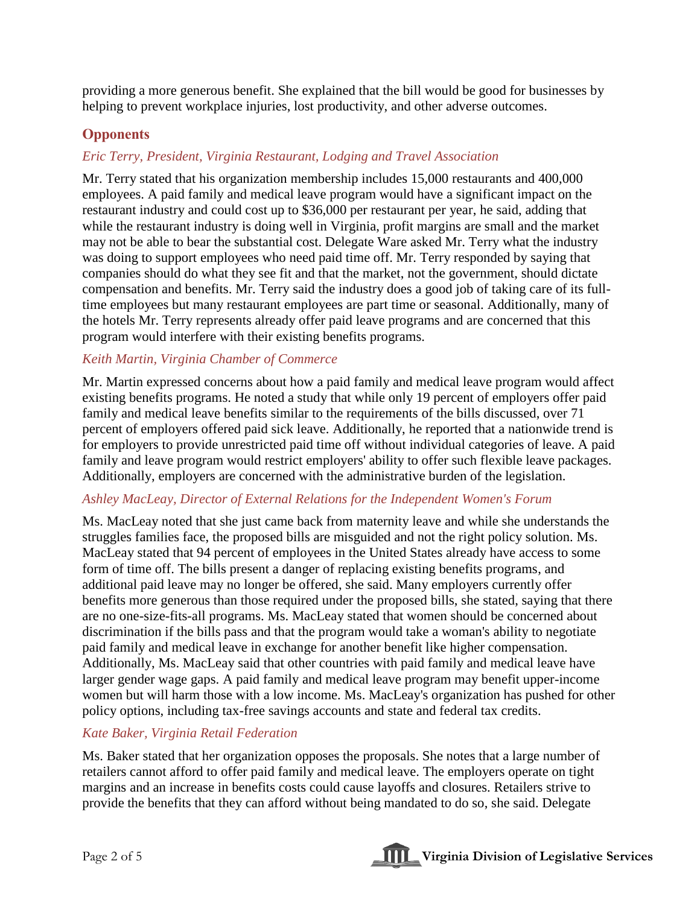providing a more generous benefit. She explained that the bill would be good for businesses by helping to prevent workplace injuries, lost productivity, and other adverse outcomes.

# **Opponents**

# *Eric Terry, President, Virginia Restaurant, Lodging and Travel Association*

Mr. Terry stated that his organization membership includes 15,000 restaurants and 400,000 employees. A paid family and medical leave program would have a significant impact on the restaurant industry and could cost up to \$36,000 per restaurant per year, he said, adding that while the restaurant industry is doing well in Virginia, profit margins are small and the market may not be able to bear the substantial cost. Delegate Ware asked Mr. Terry what the industry was doing to support employees who need paid time off. Mr. Terry responded by saying that companies should do what they see fit and that the market, not the government, should dictate compensation and benefits. Mr. Terry said the industry does a good job of taking care of its fulltime employees but many restaurant employees are part time or seasonal. Additionally, many of the hotels Mr. Terry represents already offer paid leave programs and are concerned that this program would interfere with their existing benefits programs.

# *Keith Martin, Virginia Chamber of Commerce*

Mr. Martin expressed concerns about how a paid family and medical leave program would affect existing benefits programs. He noted a study that while only 19 percent of employers offer paid family and medical leave benefits similar to the requirements of the bills discussed, over 71 percent of employers offered paid sick leave. Additionally, he reported that a nationwide trend is for employers to provide unrestricted paid time off without individual categories of leave. A paid family and leave program would restrict employers' ability to offer such flexible leave packages. Additionally, employers are concerned with the administrative burden of the legislation.

# *Ashley MacLeay, Director of External Relations for the Independent Women's Forum*

Ms. MacLeay noted that she just came back from maternity leave and while she understands the struggles families face, the proposed bills are misguided and not the right policy solution. Ms. MacLeay stated that 94 percent of employees in the United States already have access to some form of time off. The bills present a danger of replacing existing benefits programs, and additional paid leave may no longer be offered, she said. Many employers currently offer benefits more generous than those required under the proposed bills, she stated, saying that there are no one-size-fits-all programs. Ms. MacLeay stated that women should be concerned about discrimination if the bills pass and that the program would take a woman's ability to negotiate paid family and medical leave in exchange for another benefit like higher compensation. Additionally, Ms. MacLeay said that other countries with paid family and medical leave have larger gender wage gaps. A paid family and medical leave program may benefit upper-income women but will harm those with a low income. Ms. MacLeay's organization has pushed for other policy options, including tax-free savings accounts and state and federal tax credits.

# *Kate Baker, Virginia Retail Federation*

Ms. Baker stated that her organization opposes the proposals. She notes that a large number of retailers cannot afford to offer paid family and medical leave. The employers operate on tight margins and an increase in benefits costs could cause layoffs and closures. Retailers strive to provide the benefits that they can afford without being mandated to do so, she said. Delegate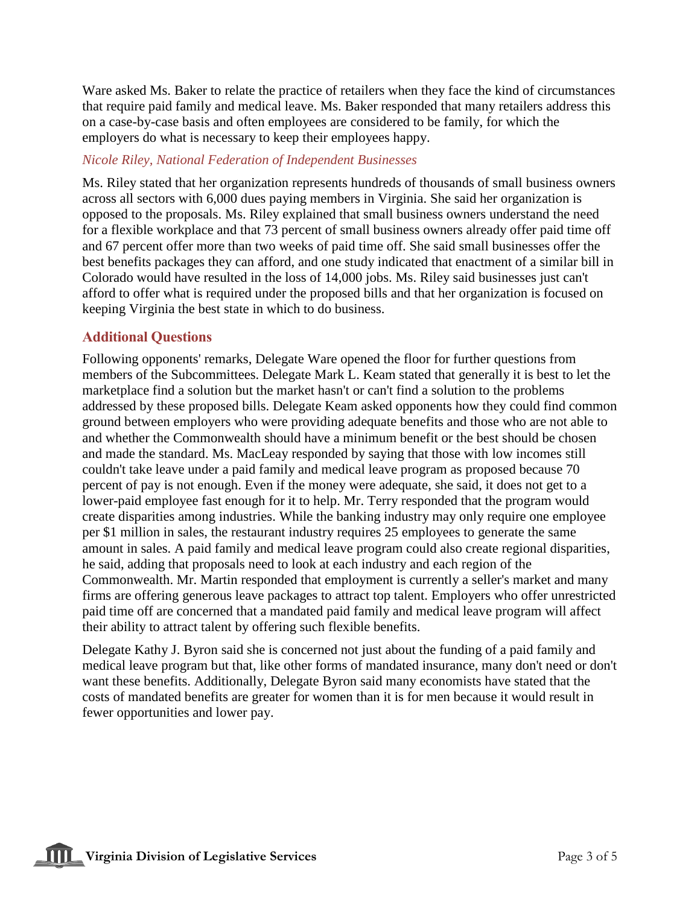Ware asked Ms. Baker to relate the practice of retailers when they face the kind of circumstances that require paid family and medical leave. Ms. Baker responded that many retailers address this on a case-by-case basis and often employees are considered to be family, for which the employers do what is necessary to keep their employees happy.

## *Nicole Riley, National Federation of Independent Businesses*

Ms. Riley stated that her organization represents hundreds of thousands of small business owners across all sectors with 6,000 dues paying members in Virginia. She said her organization is opposed to the proposals. Ms. Riley explained that small business owners understand the need for a flexible workplace and that 73 percent of small business owners already offer paid time off and 67 percent offer more than two weeks of paid time off. She said small businesses offer the best benefits packages they can afford, and one study indicated that enactment of a similar bill in Colorado would have resulted in the loss of 14,000 jobs. Ms. Riley said businesses just can't afford to offer what is required under the proposed bills and that her organization is focused on keeping Virginia the best state in which to do business.

# **Additional Questions**

Following opponents' remarks, Delegate Ware opened the floor for further questions from members of the Subcommittees. Delegate Mark L. Keam stated that generally it is best to let the marketplace find a solution but the market hasn't or can't find a solution to the problems addressed by these proposed bills. Delegate Keam asked opponents how they could find common ground between employers who were providing adequate benefits and those who are not able to and whether the Commonwealth should have a minimum benefit or the best should be chosen and made the standard. Ms. MacLeay responded by saying that those with low incomes still couldn't take leave under a paid family and medical leave program as proposed because 70 percent of pay is not enough. Even if the money were adequate, she said, it does not get to a lower-paid employee fast enough for it to help. Mr. Terry responded that the program would create disparities among industries. While the banking industry may only require one employee per \$1 million in sales, the restaurant industry requires 25 employees to generate the same amount in sales. A paid family and medical leave program could also create regional disparities, he said, adding that proposals need to look at each industry and each region of the Commonwealth. Mr. Martin responded that employment is currently a seller's market and many firms are offering generous leave packages to attract top talent. Employers who offer unrestricted paid time off are concerned that a mandated paid family and medical leave program will affect their ability to attract talent by offering such flexible benefits.

Delegate Kathy J. Byron said she is concerned not just about the funding of a paid family and medical leave program but that, like other forms of mandated insurance, many don't need or don't want these benefits. Additionally, Delegate Byron said many economists have stated that the costs of mandated benefits are greater for women than it is for men because it would result in fewer opportunities and lower pay.

**THE** Virginia Division of Legislative Services Page 3 of 5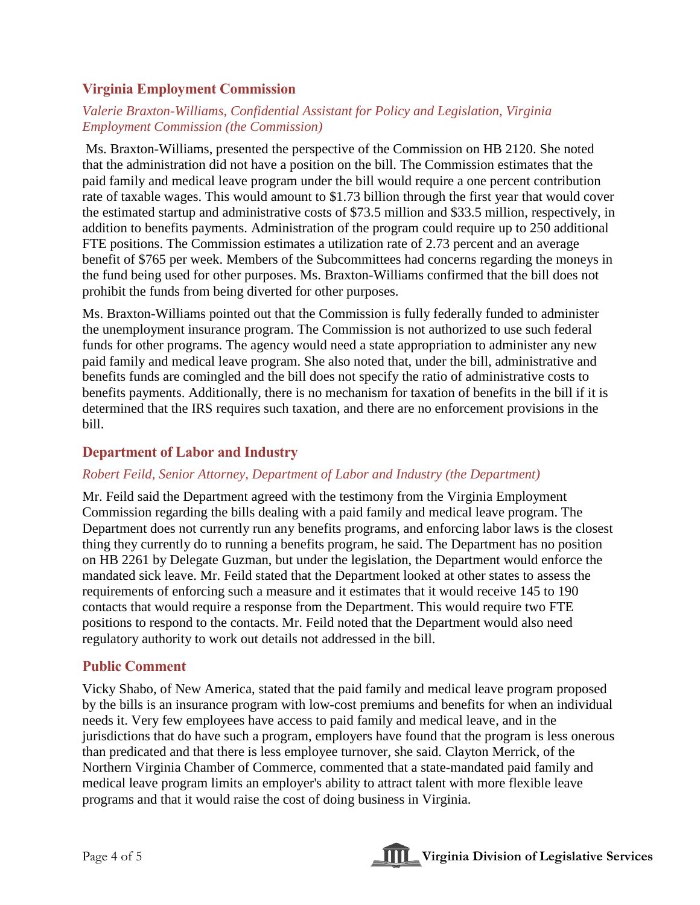# **Virginia Employment Commission**

# *Valerie Braxton-Williams, Confidential Assistant for Policy and Legislation, Virginia Employment Commission (the Commission)*

Ms. Braxton-Williams, presented the perspective of the Commission on HB 2120. She noted that the administration did not have a position on the bill. The Commission estimates that the paid family and medical leave program under the bill would require a one percent contribution rate of taxable wages. This would amount to \$1.73 billion through the first year that would cover the estimated startup and administrative costs of \$73.5 million and \$33.5 million, respectively, in addition to benefits payments. Administration of the program could require up to 250 additional FTE positions. The Commission estimates a utilization rate of 2.73 percent and an average benefit of \$765 per week. Members of the Subcommittees had concerns regarding the moneys in the fund being used for other purposes. Ms. Braxton-Williams confirmed that the bill does not prohibit the funds from being diverted for other purposes.

Ms. Braxton-Williams pointed out that the Commission is fully federally funded to administer the unemployment insurance program. The Commission is not authorized to use such federal funds for other programs. The agency would need a state appropriation to administer any new paid family and medical leave program. She also noted that, under the bill, administrative and benefits funds are comingled and the bill does not specify the ratio of administrative costs to benefits payments. Additionally, there is no mechanism for taxation of benefits in the bill if it is determined that the IRS requires such taxation, and there are no enforcement provisions in the bill.

#### **Department of Labor and Industry**

#### *Robert Feild, Senior Attorney, Department of Labor and Industry (the Department)*

Mr. Feild said the Department agreed with the testimony from the Virginia Employment Commission regarding the bills dealing with a paid family and medical leave program. The Department does not currently run any benefits programs, and enforcing labor laws is the closest thing they currently do to running a benefits program, he said. The Department has no position on HB 2261 by Delegate Guzman, but under the legislation, the Department would enforce the mandated sick leave. Mr. Feild stated that the Department looked at other states to assess the requirements of enforcing such a measure and it estimates that it would receive 145 to 190 contacts that would require a response from the Department. This would require two FTE positions to respond to the contacts. Mr. Feild noted that the Department would also need regulatory authority to work out details not addressed in the bill.

# **Public Comment**

Vicky Shabo, of New America, stated that the paid family and medical leave program proposed by the bills is an insurance program with low-cost premiums and benefits for when an individual needs it. Very few employees have access to paid family and medical leave, and in the jurisdictions that do have such a program, employers have found that the program is less onerous than predicated and that there is less employee turnover, she said. Clayton Merrick, of the Northern Virginia Chamber of Commerce, commented that a state-mandated paid family and medical leave program limits an employer's ability to attract talent with more flexible leave programs and that it would raise the cost of doing business in Virginia.